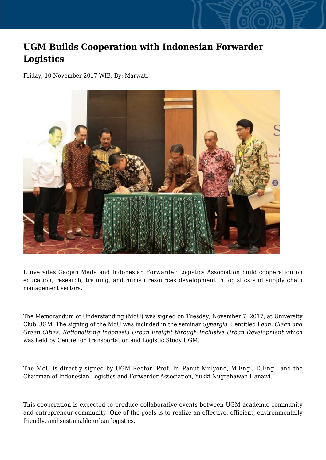## **UGM Builds Cooperation with Indonesian Forwarder Logistics**

Friday, 10 November 2017 WIB, By: Marwati



Universitas Gadjah Mada and Indonesian Forwarder Logistics Association build cooperation on education, research, training, and human resources development in logistics and supply chain management sectors.

The Memorandum of Understanding (MoU) was signed on Tuesday, November 7, 2017, at University Club UGM. The signing of the MoU was included in the seminar *Synergia 2* entitled L*ean, Clean and Green Cities: Rationalizing Indonesia Urban Freight through Inclusive Urban Development* which was held by Centre for Transportation and Logistic Study UGM.

The MoU is directly signed by UGM Rector, Prof. Ir. Panut Mulyono, M.Eng., D.Eng., and the Chairman of Indonesian Logistics and Forwarder Association, Yukki Nugrahawan Hanawi.

This cooperation is expected to produce collaborative events between UGM academic community and entrepreneur community. One of the goals is to realize an effective, efficient, environmentally friendly, and sustainable urban logistics.